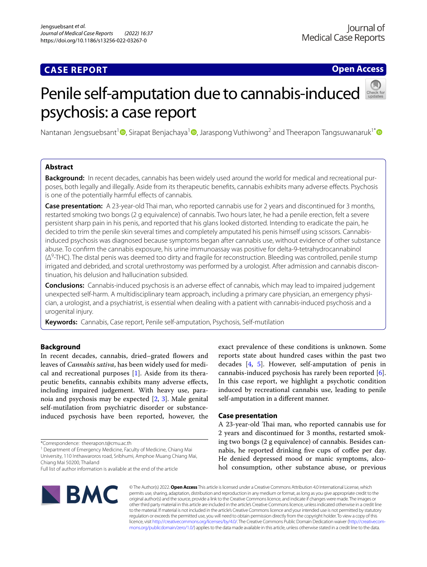# **CASE REPORT**

**Open Access**

# Penile self-amputation due to cannabis-induced psychosis: a case report

Nantanan Jengsuebsant<sup>[1](http://orcid.org/0000-0002-4510-2612)</sup>  $\bullet$ [,](http://orcid.org/0000-0001-5290-9249) Sirapat Benjachaya<sup>1</sup>  $\bullet$ , Jaraspong Vuthiwong<sup>2</sup> and Theerapon Tangsuwanaruk<sup>1[\\*](http://orcid.org/0000-0003-1783-3095)</sup>  $\bullet$ 

## **Abstract**

**Background:** In recent decades, cannabis has been widely used around the world for medical and recreational purposes, both legally and illegally. Aside from its therapeutic benefts, cannabis exhibits many adverse efects. Psychosis is one of the potentially harmful effects of cannabis.

**Case presentation:** A 23-year-old Thai man, who reported cannabis use for 2 years and discontinued for 3 months, restarted smoking two bongs (2 g equivalence) of cannabis. Two hours later, he had a penile erection, felt a severe persistent sharp pain in his penis, and reported that his glans looked distorted. Intending to eradicate the pain, he decided to trim the penile skin several times and completely amputated his penis himself using scissors. Cannabisinduced psychosis was diagnosed because symptoms began after cannabis use, without evidence of other substance abuse. To confrm the cannabis exposure, his urine immunoassay was positive for delta-9-tetrahydrocannabinol (Δ<sup>9</sup>-THC). The distal penis was deemed too dirty and fragile for reconstruction. Bleeding was controlled, penile stump irrigated and debrided, and scrotal urethrostomy was performed by a urologist. After admission and cannabis discontinuation, his delusion and hallucination subsided.

**Conclusions:** Cannabis-induced psychosis is an adverse efect of cannabis, which may lead to impaired judgement unexpected self-harm. A multidisciplinary team approach, including a primary care physician, an emergency physician, a urologist, and a psychiatrist, is essential when dealing with a patient with cannabis-induced psychosis and a urogenital injury.

**Keywords:** Cannabis, Case report, Penile self-amputation, Psychosis, Self-mutilation

### **Background**

In recent decades, cannabis, dried–grated flowers and leaves of *Cannabis sativa*, has been widely used for medical and recreational purposes [\[1](#page-3-0)]. Aside from its therapeutic benefts, cannabis exhibits many adverse efects, including impaired judgement. With heavy use, paranoia and psychosis may be expected [[2,](#page-3-1) [3](#page-3-2)]. Male genital self-mutilation from psychiatric disorder or substanceinduced psychosis have been reported, however, the

\*Correspondence: theerapon.t@cmu.ac.th

<sup>1</sup> Department of Emergency Medicine, Faculty of Medicine, Chiang Mai University, 110 Inthawaroros road, Sribhumi, Amphoe Muang Chiang Mai, Chiang Mai 50200, Thailand

Full list of author information is available at the end of the article



exact prevalence of these conditions is unknown. Some reports state about hundred cases within the past two decades [\[4,](#page-3-3) [5\]](#page-3-4). However, self-amputation of penis in cannabis-induced psychosis has rarely been reported [\[6](#page-3-5)]. In this case report, we highlight a psychotic condition induced by recreational cannabis use, leading to penile self-amputation in a diferent manner.

#### **Case presentation**

A 23-year-old Thai man, who reported cannabis use for 2 years and discontinued for 3 months, restarted smoking two bongs (2 g equivalence) of cannabis. Besides cannabis, he reported drinking five cups of coffee per day. He denied depressed mood or manic symptoms, alcohol consumption, other substance abuse, or previous

© The Author(s) 2022. **Open Access** This article is licensed under a Creative Commons Attribution 4.0 International License, which permits use, sharing, adaptation, distribution and reproduction in any medium or format, as long as you give appropriate credit to the original author(s) and the source, provide a link to the Creative Commons licence, and indicate if changes were made. The images or other third party material in this article are included in the article's Creative Commons licence, unless indicated otherwise in a credit line to the material. If material is not included in the article's Creative Commons licence and your intended use is not permitted by statutory regulation or exceeds the permitted use, you will need to obtain permission directly from the copyright holder. To view a copy of this licence, visit [http://creativecommons.org/licenses/by/4.0/.](http://creativecommons.org/licenses/by/4.0/) The Creative Commons Public Domain Dedication waiver ([http://creativecom](http://creativecommons.org/publicdomain/zero/1.0/)[mons.org/publicdomain/zero/1.0/\)](http://creativecommons.org/publicdomain/zero/1.0/) applies to the data made available in this article, unless otherwise stated in a credit line to the data.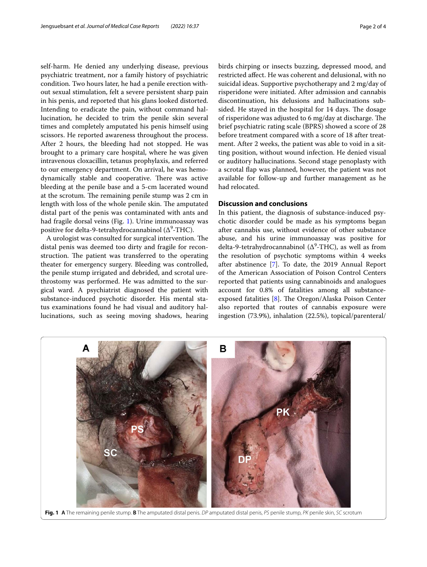self-harm. He denied any underlying disease, previous psychiatric treatment, nor a family history of psychiatric condition. Two hours later, he had a penile erection without sexual stimulation, felt a severe persistent sharp pain in his penis, and reported that his glans looked distorted. Intending to eradicate the pain, without command hallucination, he decided to trim the penile skin several times and completely amputated his penis himself using scissors. He reported awareness throughout the process. After 2 hours, the bleeding had not stopped. He was brought to a primary care hospital, where he was given intravenous cloxacillin, tetanus prophylaxis, and referred to our emergency department. On arrival, he was hemodynamically stable and cooperative. There was active bleeding at the penile base and a 5-cm lacerated wound at the scrotum. The remaining penile stump was 2 cm in length with loss of the whole penile skin. The amputated distal part of the penis was contaminated with ants and had fragile dorsal veins (Fig. [1](#page-1-0)). Urine immunoassay was positive for delta-9-tetrahydrocannabinol ( $\Delta^9\text{-THC}$ ).

A urologist was consulted for surgical intervention. The distal penis was deemed too dirty and fragile for reconstruction. The patient was transferred to the operating theater for emergency surgery. Bleeding was controlled, the penile stump irrigated and debrided, and scrotal urethrostomy was performed. He was admitted to the surgical ward. A psychiatrist diagnosed the patient with substance-induced psychotic disorder. His mental status examinations found he had visual and auditory hallucinations, such as seeing moving shadows, hearing birds chirping or insects buzzing, depressed mood, and restricted afect. He was coherent and delusional, with no suicidal ideas. Supportive psychotherapy and 2 mg/day of risperidone were initiated. After admission and cannabis discontinuation, his delusions and hallucinations subsided. He stayed in the hospital for 14 days. The dosage of risperidone was adjusted to 6 mg/day at discharge. The brief psychiatric rating scale (BPRS) showed a score of 28 before treatment compared with a score of 18 after treatment. After 2 weeks, the patient was able to void in a sitting position, without wound infection. He denied visual or auditory hallucinations. Second stage penoplasty with a scrotal fap was planned, however, the patient was not available for follow-up and further management as he had relocated.

#### **Discussion and conclusions**

In this patient, the diagnosis of substance-induced psychotic disorder could be made as his symptoms began after cannabis use, without evidence of other substance abuse, and his urine immunoassay was positive for delta-9-tetrahydrocannabinol ( $\Delta^9$ -THC), as well as from the resolution of psychotic symptoms within 4 weeks after abstinence [\[7](#page-3-6)]. To date, the 2019 Annual Report of the American Association of Poison Control Centers reported that patients using cannabinoids and analogues account for 0.8% of fatalities among all substanceexposed fatalities  $[8]$  $[8]$ . The Oregon/Alaska Poison Center also reported that routes of cannabis exposure were ingestion (73.9%), inhalation (22.5%), topical/parenteral/

<span id="page-1-0"></span>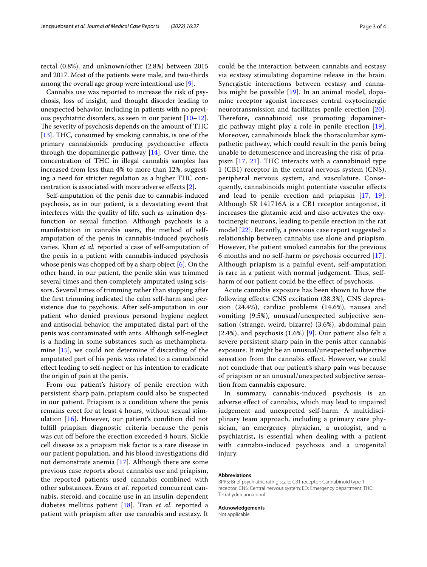rectal (0.8%), and unknown/other (2.8%) between 2015 and 2017. Most of the patients were male, and two-thirds among the overall age group were intentional use [\[9](#page-3-8)].

Cannabis use was reported to increase the risk of psychosis, loss of insight, and thought disorder leading to unexpected behavior, including in patients with no previous psychiatric disorders, as seen in our patient [[10](#page-3-9)[–12](#page-3-10)]. The severity of psychosis depends on the amount of THC [[13\]](#page-3-11). THC, consumed by smoking cannabis, is one of the primary cannabinoids producing psychoactive efects through the dopaminergic pathway  $[14]$  $[14]$ . Over time, the concentration of THC in illegal cannabis samples has increased from less than 4% to more than 12%, suggesting a need for stricter regulation as a higher THC concentration is associated with more adverse efects [[2\]](#page-3-1).

Self-amputation of the penis due to cannabis-induced psychosis, as in our patient, is a devastating event that interferes with the quality of life, such as urination dysfunction or sexual function. Although psychosis is a manifestation in cannabis users, the method of selfamputation of the penis in cannabis-induced psychosis varies. Khan *et al.* reported a case of self-amputation of the penis in a patient with cannabis-induced psychosis whose penis was chopped off by a sharp object  $[6]$  $[6]$ . On the other hand, in our patient, the penile skin was trimmed several times and then completely amputated using scissors. Several times of trimming rather than stopping after the frst trimming indicated the calm self-harm and persistence due to psychosis. After self-amputation in our patient who denied previous personal hygiene neglect and antisocial behavior, the amputated distal part of the penis was contaminated with ants. Although self-neglect is a fnding in some substances such as methamphetamine [[15](#page-3-13)], we could not determine if discarding of the amputated part of his penis was related to a cannabinoid efect leading to self-neglect or his intention to eradicate the origin of pain at the penis.

From our patient's history of penile erection with persistent sharp pain, priapism could also be suspected in our patient. Priapism is a condition where the penis remains erect for at least 4 hours, without sexual stimulation [[16\]](#page-3-14). However, our patient's condition did not fulfll priapism diagnostic criteria because the penis was cut off before the erection exceeded 4 hours. Sickle cell disease as a priapism risk factor is a rare disease in our patient population, and his blood investigations did not demonstrate anemia [\[17\]](#page-3-15). Although there are some previous case reports about cannabis use and priapism, the reported patients used cannabis combined with other substances. Evans *et al.* reported concurrent cannabis, steroid, and cocaine use in an insulin-dependent diabetes mellitus patient [[18](#page-3-16)]. Tran *et al.* reported a patient with priapism after use cannabis and ecstasy. It could be the interaction between cannabis and ecstasy via ecstasy stimulating dopamine release in the brain. Synergistic interactions between ecstasy and cannabis might be possible [[19\]](#page-3-17). In an animal model, dopamine receptor agonist increases central oxytocinergic neurotransmission and facilitates penile erection [[20](#page-3-18)]. Therefore, cannabinoid use promoting dopaminergic pathway might play a role in penile erection [[19](#page-3-17)]. Moreover, cannabinoids block the thoracolumbar sympathetic pathway, which could result in the penis being unable to detumescence and increasing the risk of priapism [\[17](#page-3-15), [21\]](#page-3-19). THC interacts with a cannabinoid type 1 (CB1) receptor in the central nervous system (CNS), peripheral nervous system, and vasculature. Consequently, cannabinoids might potentiate vascular efects and lead to penile erection and priapism [\[17,](#page-3-15) [19](#page-3-17)]. Although SR 141716A is a CB1 receptor antagonist, it increases the glutamic acid and also activates the oxytocinergic neurons, leading to penile erection in the rat model [[22\]](#page-3-20). Recently, a previous case report suggested a relationship between cannabis use alone and priapism. However, the patient smoked cannabis for the previous 6 months and no self-harm or psychosis occurred [[17](#page-3-15)]. Although priapism is a painful event, self-amputation is rare in a patient with normal judgement. Thus, selfharm of our patient could be the efect of psychosis.

Acute cannabis exposure has been shown to have the following efects: CNS excitation (38.3%), CNS depression (24.4%), cardiac problems (14.6%), nausea and vomiting (9.5%), unusual/unexpected subjective sensation (strange, weird, bizarre) (3.6%), abdominal pain (2.4%), and psychosis (1.6%) [[9\]](#page-3-8). Our patient also felt a severe persistent sharp pain in the penis after cannabis exposure. It might be an unusual/unexpected subjective sensation from the cannabis efect. However, we could not conclude that our patient's sharp pain was because of priapism or an unusual/unexpected subjective sensation from cannabis exposure.

In summary, cannabis-induced psychosis is an adverse efect of cannabis, which may lead to impaired judgement and unexpected self-harm. A multidisciplinary team approach, including a primary care physician, an emergency physician, a urologist, and a psychiatrist, is essential when dealing with a patient with cannabis-induced psychosis and a urogenital injury.

#### **Abbreviations**

BPRS: Brief psychiatric rating scale; CB1 receptor: Cannabinoid type 1 receptor; CNS: Central nervous system; ED: Emergency department; THC: Tetrahydrocannabinol.

#### **Acknowledgements**

Not applicable.